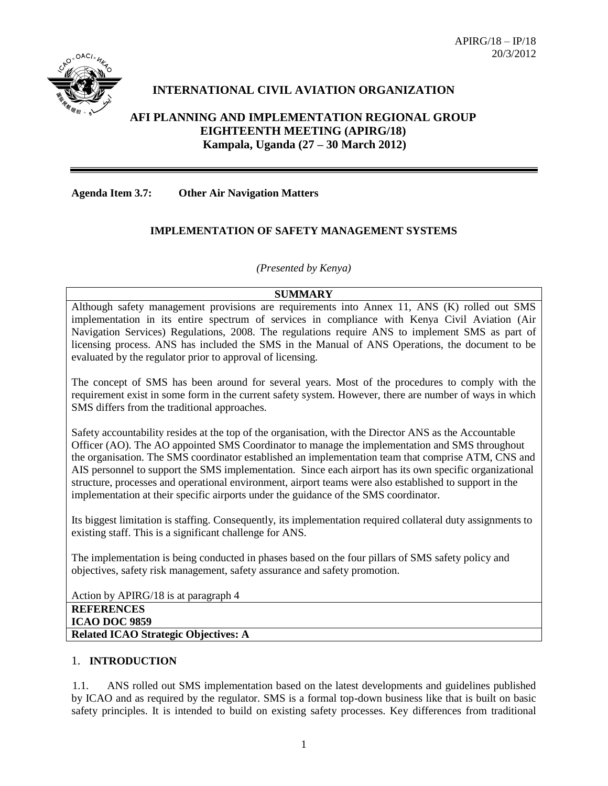$APIRG/18 - IP/18$ 20/3/2012



# **INTERNATIONAL CIVIL AVIATION ORGANIZATION**

## **AFI PLANNING AND IMPLEMENTATION REGIONAL GROUP EIGHTEENTH MEETING (APIRG/18) Kampala, Uganda (27 – 30 March 2012)**

**Agenda Item 3.7: Other Air Navigation Matters**

### **IMPLEMENTATION OF SAFETY MANAGEMENT SYSTEMS**

*(Presented by Kenya)*

#### **SUMMARY**

Although safety management provisions are requirements into Annex 11, ANS (K) rolled out SMS implementation in its entire spectrum of services in compliance with Kenya Civil Aviation (Air Navigation Services) Regulations, 2008. The regulations require ANS to implement SMS as part of licensing process. ANS has included the SMS in the Manual of ANS Operations, the document to be evaluated by the regulator prior to approval of licensing.

The concept of SMS has been around for several years. Most of the procedures to comply with the requirement exist in some form in the current safety system. However, there are number of ways in which SMS differs from the traditional approaches.

Safety accountability resides at the top of the organisation, with the Director ANS as the Accountable Officer (AO). The AO appointed SMS Coordinator to manage the implementation and SMS throughout the organisation. The SMS coordinator established an implementation team that comprise ATM, CNS and AIS personnel to support the SMS implementation. Since each airport has its own specific organizational structure, processes and operational environment, airport teams were also established to support in the implementation at their specific airports under the guidance of the SMS coordinator.

Its biggest limitation is staffing. Consequently, its implementation required collateral duty assignments to existing staff. This is a significant challenge for ANS.

The implementation is being conducted in phases based on the four pillars of SMS safety policy and objectives, safety risk management, safety assurance and safety promotion.

Action by APIRG/18 is at paragraph 4 **REFERENCES ICAO DOC 9859 Related ICAO Strategic Objectives: A**

## 1. **INTRODUCTION**

1.1. ANS rolled out SMS implementation based on the latest developments and guidelines published by ICAO and as required by the regulator. SMS is a formal top-down business like that is built on basic safety principles. It is intended to build on existing safety processes. Key differences from traditional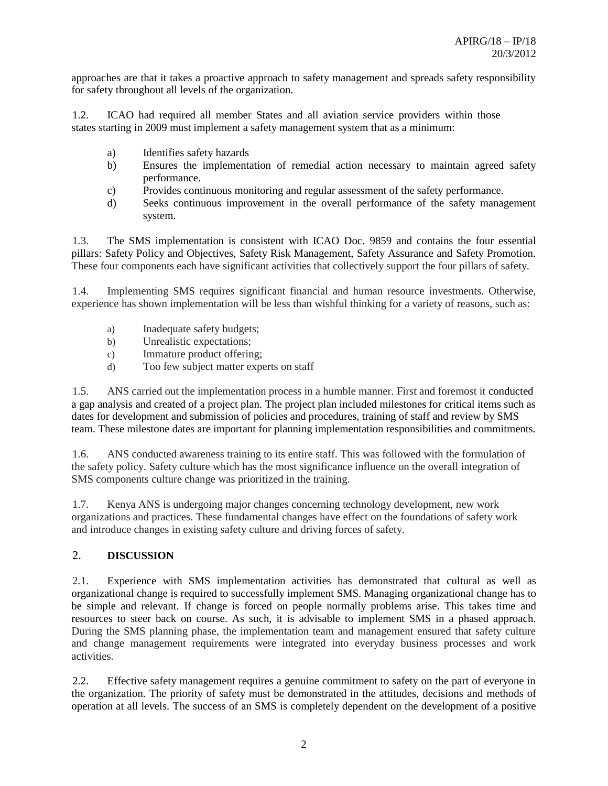approaches are that it takes a proactive approach to safety management and spreads safety responsibility for safety throughout all levels of the organization.

1.2. ICAO had required all member States and all aviation service providers within those states starting in 2009 must implement a safety management system that as a minimum:

- a) Identifies safety hazards
- b) Ensures the implementation of remedial action necessary to maintain agreed safety performance.
- c) Provides continuous monitoring and regular assessment of the safety performance.
- d) Seeks continuous improvement in the overall performance of the safety management system.

1.3. The SMS implementation is consistent with ICAO Doc. 9859 and contains the four essential pillars: Safety Policy and Objectives, Safety Risk Management, Safety Assurance and Safety Promotion. These four components each have significant activities that collectively support the four pillars of safety.

1.4. Implementing SMS requires significant financial and human resource investments. Otherwise, experience has shown implementation will be less than wishful thinking for a variety of reasons, such as:

- a) Inadequate safety budgets;
- b) Unrealistic expectations;
- c) Immature product offering;
- d) Too few subject matter experts on staff

1.5. ANS carried out the implementation process in a humble manner. First and foremost it conducted a gap analysis and created of a project plan. The project plan included milestones for critical items such as dates for development and submission of policies and procedures, training of staff and review by SMS team. These milestone dates are important for planning implementation responsibilities and commitments.

1.6. ANS conducted awareness training to its entire staff. This was followed with the formulation of the safety policy. Safety culture which has the most significance influence on the overall integration of SMS components culture change was prioritized in the training.

1.7. Kenya ANS is undergoing major changes concerning technology development, new work organizations and practices. These fundamental changes have effect on the foundations of safety work and introduce changes in existing safety culture and driving forces of safety.

# 2. **DISCUSSION**

2.1. Experience with SMS implementation activities has demonstrated that cultural as well as organizational change is required to successfully implement SMS. Managing organizational change has to be simple and relevant. If change is forced on people normally problems arise. This takes time and resources to steer back on course. As such, it is advisable to implement SMS in a phased approach. During the SMS planning phase, the implementation team and management ensured that safety culture and change management requirements were integrated into everyday business processes and work activities.

2.2. Effective safety management requires a genuine commitment to safety on the part of everyone in the organization. The priority of safety must be demonstrated in the attitudes, decisions and methods of operation at all levels. The success of an SMS is completely dependent on the development of a positive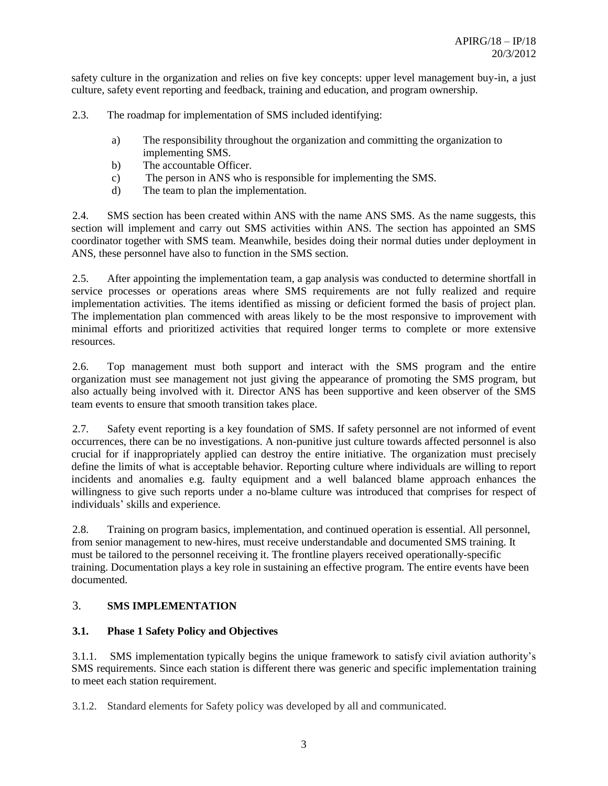safety culture in the organization and relies on five key concepts: upper level management buy-in, a just culture, safety event reporting and feedback, training and education, and program ownership.

2.3. The roadmap for implementation of SMS included identifying:

- a) The responsibility throughout the organization and committing the organization to implementing SMS.
- b) The accountable Officer.
- c) The person in ANS who is responsible for implementing the SMS.
- d) The team to plan the implementation.

2.4. SMS section has been created within ANS with the name ANS SMS. As the name suggests, this section will implement and carry out SMS activities within ANS. The section has appointed an SMS coordinator together with SMS team. Meanwhile, besides doing their normal duties under deployment in ANS, these personnel have also to function in the SMS section.

2.5. After appointing the implementation team, a gap analysis was conducted to determine shortfall in service processes or operations areas where SMS requirements are not fully realized and require implementation activities. The items identified as missing or deficient formed the basis of project plan. The implementation plan commenced with areas likely to be the most responsive to improvement with minimal efforts and prioritized activities that required longer terms to complete or more extensive resources.

2.6. Top management must both support and interact with the SMS program and the entire organization must see management not just giving the appearance of promoting the SMS program, but also actually being involved with it. Director ANS has been supportive and keen observer of the SMS team events to ensure that smooth transition takes place.

2.7. Safety event reporting is a key foundation of SMS. If safety personnel are not informed of event occurrences, there can be no investigations. A non-punitive just culture towards affected personnel is also crucial for if inappropriately applied can destroy the entire initiative. The organization must precisely define the limits of what is acceptable behavior. Reporting culture where individuals are willing to report incidents and anomalies e.g. faulty equipment and a well balanced blame approach enhances the willingness to give such reports under a no-blame culture was introduced that comprises for respect of individuals' skills and experience.

2.8. Training on program basics, implementation, and continued operation is essential. All personnel, from senior management to new-hires, must receive understandable and documented SMS training. It must be tailored to the personnel receiving it. The frontline players received operationally-specific training. Documentation plays a key role in sustaining an effective program. The entire events have been documented.

## 3. **SMS IMPLEMENTATION**

### **3.1. Phase 1 Safety Policy and Objectives**

3.1.1. SMS implementation typically begins the unique framework to satisfy civil aviation authority's SMS requirements. Since each station is different there was generic and specific implementation training to meet each station requirement.

3.1.2. Standard elements for Safety policy was developed by all and communicated.